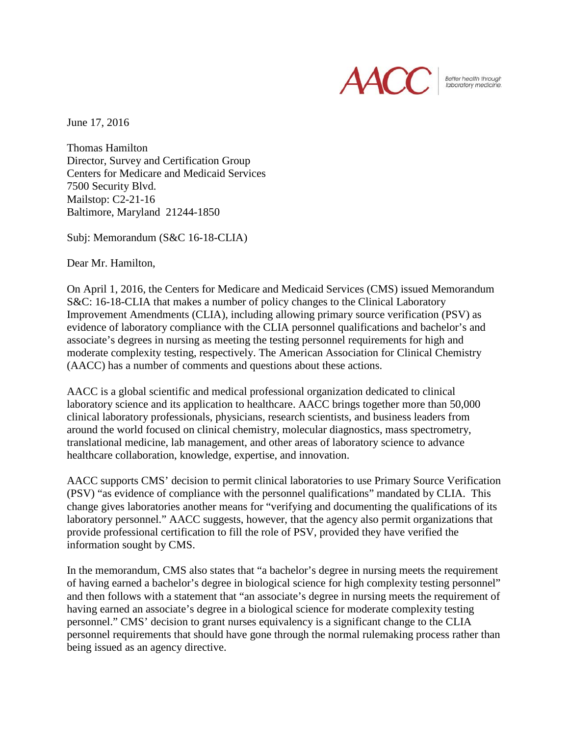

Better health through laboratory medicine.

June 17, 2016

Thomas Hamilton Director, Survey and Certification Group Centers for Medicare and Medicaid Services 7500 Security Blvd. Mailstop: C2-21-16 Baltimore, Maryland 21244-1850

Subj: Memorandum (S&C 16-18-CLIA)

Dear Mr. Hamilton,

On April 1, 2016, the Centers for Medicare and Medicaid Services (CMS) issued Memorandum S&C: 16-18-CLIA that makes a number of policy changes to the Clinical Laboratory Improvement Amendments (CLIA), including allowing primary source verification (PSV) as evidence of laboratory compliance with the CLIA personnel qualifications and bachelor's and associate's degrees in nursing as meeting the testing personnel requirements for high and moderate complexity testing, respectively. The American Association for Clinical Chemistry (AACC) has a number of comments and questions about these actions.

AACC is a global scientific and medical professional organization dedicated to clinical laboratory science and its application to healthcare. AACC brings together more than 50,000 clinical laboratory professionals, physicians, research scientists, and business leaders from around the world focused on clinical chemistry, molecular diagnostics, mass spectrometry, translational medicine, lab management, and other areas of laboratory science to advance healthcare collaboration, knowledge, expertise, and innovation.

AACC supports CMS' decision to permit clinical laboratories to use Primary Source Verification (PSV) "as evidence of compliance with the personnel qualifications" mandated by CLIA. This change gives laboratories another means for "verifying and documenting the qualifications of its laboratory personnel." AACC suggests, however, that the agency also permit organizations that provide professional certification to fill the role of PSV, provided they have verified the information sought by CMS.

In the memorandum, CMS also states that "a bachelor's degree in nursing meets the requirement of having earned a bachelor's degree in biological science for high complexity testing personnel" and then follows with a statement that "an associate's degree in nursing meets the requirement of having earned an associate's degree in a biological science for moderate complexity testing personnel." CMS' decision to grant nurses equivalency is a significant change to the CLIA personnel requirements that should have gone through the normal rulemaking process rather than being issued as an agency directive.